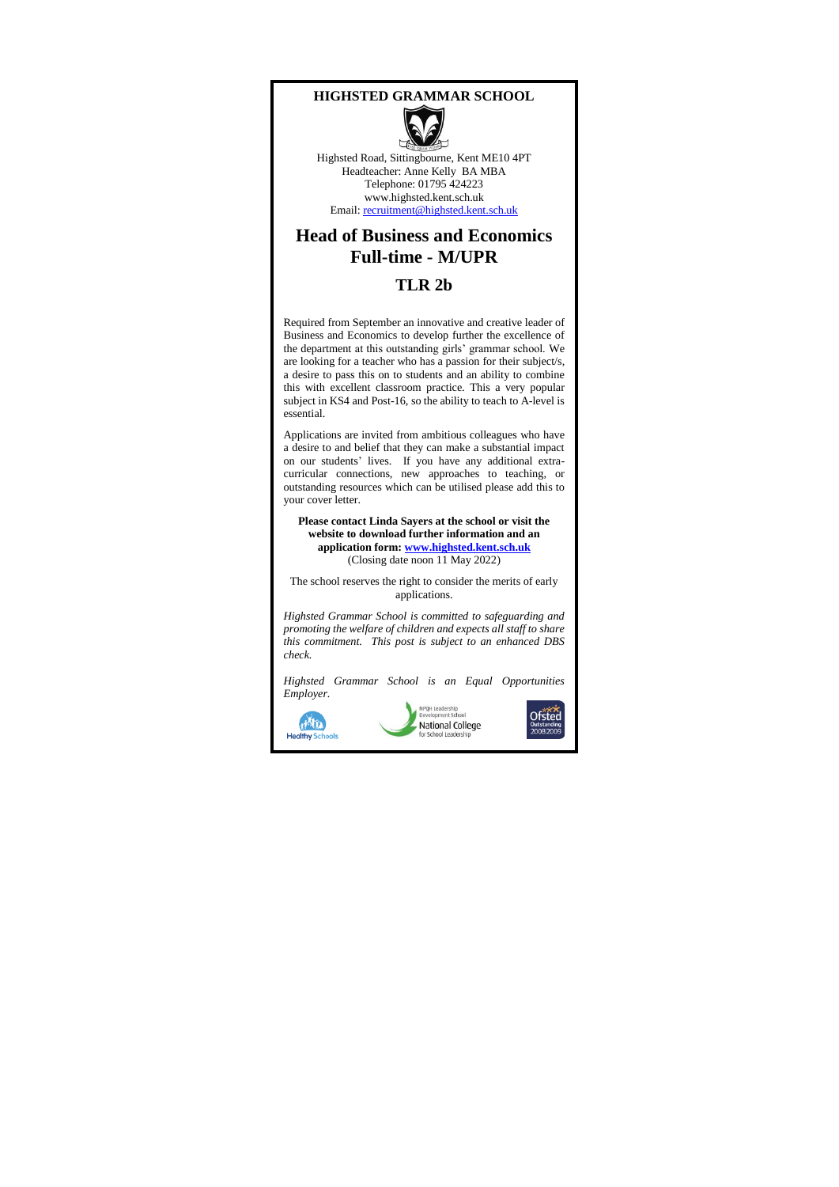#### **HIGHSTED GRAMMAR SCHOOL**



Highsted Road, Sittingbourne, Kent ME10 4PT Headteacher: Anne Kelly BA MBA Telephone: 01795 424223 www.highsted.kent.sch.uk Email[: recruitment@highsted.kent.sch.uk](mailto:recruitment@highsted.kent.sch.uk)

### **Head of Business and Economics Full-time - M/UPR**

#### **TLR 2b**

Required from September an innovative and creative leader of Business and Economics to develop further the excellence of the department at this outstanding girls' grammar school. We are looking for a teacher who has a passion for their subject/s, a desire to pass this on to students and an ability to combine this with excellent classroom practice. This a very popular subject in KS4 and Post-16, so the ability to teach to A-level is essential.

Applications are invited from ambitious colleagues who have a desire to and belief that they can make a substantial impact on our students' lives. If you have any additional extracurricular connections, new approaches to teaching, or outstanding resources which can be utilised please add this to your cover letter.

**Please contact Linda Sayers at the school or visit the website to download further information and an application form[: www.highsted.kent.sch.uk](http://www.highsted.kent.sch.uk/)** (Closing date noon 11 May 2022)

The school reserves the right to consider the merits of early applications.

*Highsted Grammar School is committed to safeguarding and promoting the welfare of children and expects all staff to share this commitment. This post is subject to an enhanced DBS check.*

*Highsted Grammar School is an Equal Opportunities Employer.*

**HATILA** 

**Healthy Scl** 



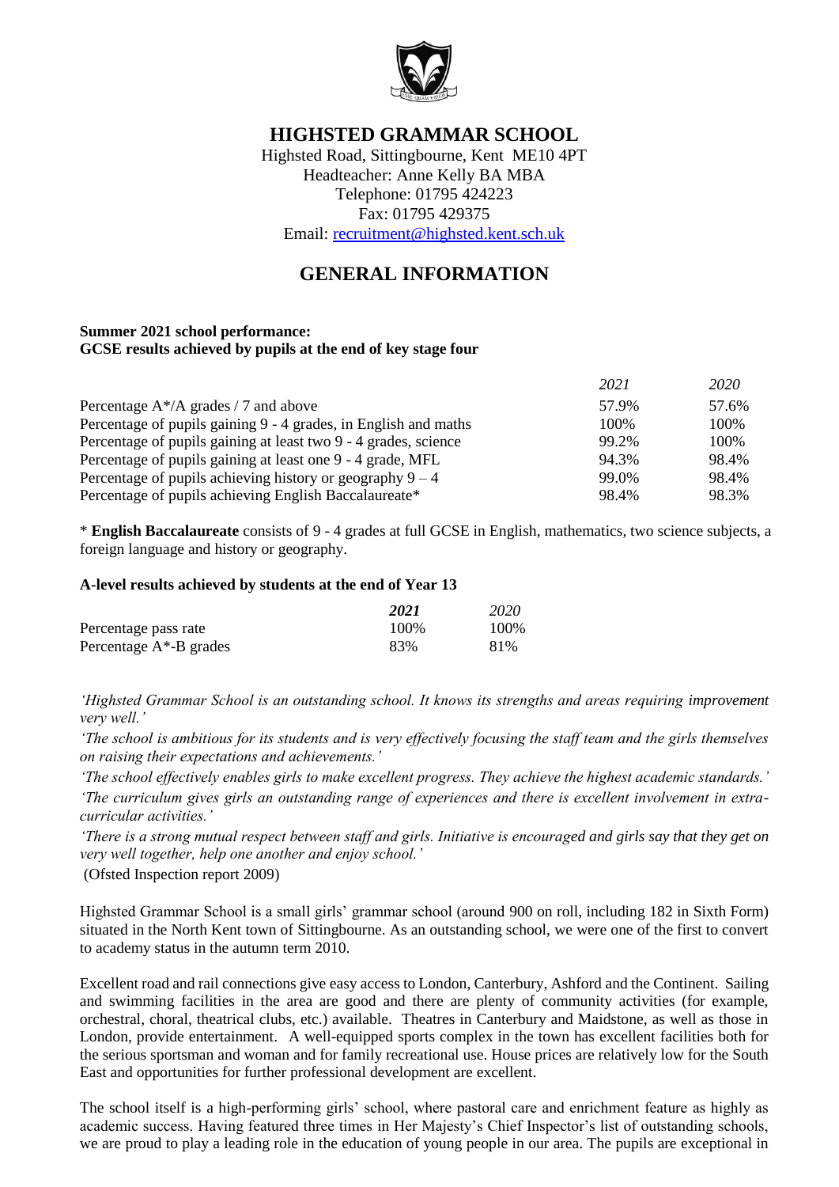

### **HIGHSTED GRAMMAR SCHOOL**

Highsted Road, Sittingbourne, Kent ME10 4PT Headteacher: Anne Kelly BA MBA Telephone: 01795 424223 Fax: 01795 429375 Email: [recruitment@highsted.kent.sch.uk](mailto:recruitment@highsted.kent.sch.uk)

## **GENERAL INFORMATION**

#### **Summer 2021 school performance: GCSE results achieved by pupils at the end of key stage four**

|                                                                 | 2021  | 2020  |
|-----------------------------------------------------------------|-------|-------|
| Percentage $A^*/A$ grades / 7 and above                         | 57.9% | 57.6% |
| Percentage of pupils gaining 9 - 4 grades, in English and maths | 100%  | 100\% |
| Percentage of pupils gaining at least two 9 - 4 grades, science | 99.2% | 100\% |
| Percentage of pupils gaining at least one 9 - 4 grade, MFL      | 94.3% | 98.4% |
| Percentage of pupils achieving history or geography $9 - 4$     | 99.0% | 98.4% |
| Percentage of pupils achieving English Baccalaureate*           | 98.4% | 98.3% |

\* **English Baccalaureate** consists of 9 - 4 grades at full GCSE in English, mathematics, two science subjects, a foreign language and history or geography.

#### **A-level results achieved by students at the end of Year 13**

|                            | 2021 | 2020 |
|----------------------------|------|------|
| Percentage pass rate       | 100% | 100% |
| Percentage $A^*$ -B grades | 83%  | 81%  |

*'Highsted Grammar School is an outstanding school. It knows its strengths and areas requiring improvement very well.'*

*'The school is ambitious for its students and is very effectively focusing the staff team and the girls themselves on raising their expectations and achievements.'*

*'The school effectively enables girls to make excellent progress. They achieve the highest academic standards.'*

*'The curriculum gives girls an outstanding range of experiences and there is excellent involvement in extracurricular activities.'*

*'There is a strong mutual respect between staff and girls. Initiative is encouraged and girls say that they get on very well together, help one another and enjoy school.'*

(Ofsted Inspection report 2009)

Highsted Grammar School is a small girls' grammar school (around 900 on roll, including 182 in Sixth Form) situated in the North Kent town of Sittingbourne. As an outstanding school, we were one of the first to convert to academy status in the autumn term 2010.

Excellent road and rail connections give easy access to London, Canterbury, Ashford and the Continent. Sailing and swimming facilities in the area are good and there are plenty of community activities (for example, orchestral, choral, theatrical clubs, etc.) available. Theatres in Canterbury and Maidstone, as well as those in London, provide entertainment. A well-equipped sports complex in the town has excellent facilities both for the serious sportsman and woman and for family recreational use. House prices are relatively low for the South East and opportunities for further professional development are excellent.

The school itself is a high-performing girls' school, where pastoral care and enrichment feature as highly as academic success. Having featured three times in Her Majesty's Chief Inspector's list of outstanding schools, we are proud to play a leading role in the education of young people in our area. The pupils are exceptional in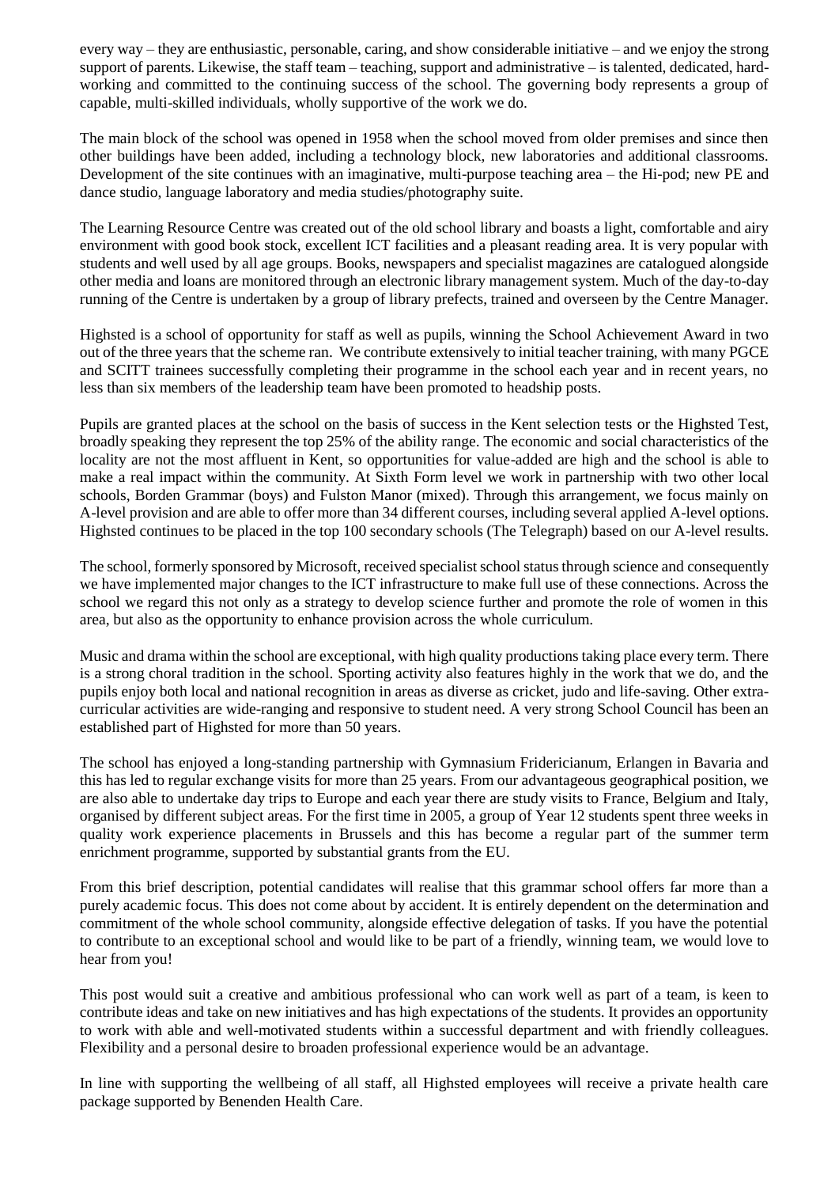every way – they are enthusiastic, personable, caring, and show considerable initiative – and we enjoy the strong support of parents. Likewise, the staff team – teaching, support and administrative – is talented, dedicated, hardworking and committed to the continuing success of the school. The governing body represents a group of capable, multi-skilled individuals, wholly supportive of the work we do.

The main block of the school was opened in 1958 when the school moved from older premises and since then other buildings have been added, including a technology block, new laboratories and additional classrooms. Development of the site continues with an imaginative, multi-purpose teaching area – the Hi-pod; new PE and dance studio, language laboratory and media studies/photography suite.

The Learning Resource Centre was created out of the old school library and boasts a light, comfortable and airy environment with good book stock, excellent ICT facilities and a pleasant reading area. It is very popular with students and well used by all age groups. Books, newspapers and specialist magazines are catalogued alongside other media and loans are monitored through an electronic library management system. Much of the day-to-day running of the Centre is undertaken by a group of library prefects, trained and overseen by the Centre Manager.

Highsted is a school of opportunity for staff as well as pupils, winning the School Achievement Award in two out of the three years that the scheme ran. We contribute extensively to initial teacher training, with many PGCE and SCITT trainees successfully completing their programme in the school each year and in recent years, no less than six members of the leadership team have been promoted to headship posts.

Pupils are granted places at the school on the basis of success in the Kent selection tests or the Highsted Test, broadly speaking they represent the top 25% of the ability range. The economic and social characteristics of the locality are not the most affluent in Kent, so opportunities for value-added are high and the school is able to make a real impact within the community. At Sixth Form level we work in partnership with two other local schools, Borden Grammar (boys) and Fulston Manor (mixed). Through this arrangement, we focus mainly on A-level provision and are able to offer more than 34 different courses, including several applied A-level options. Highsted continues to be placed in the top 100 secondary schools (The Telegraph) based on our A-level results.

The school, formerly sponsored by Microsoft, received specialist school status through science and consequently we have implemented major changes to the ICT infrastructure to make full use of these connections. Across the school we regard this not only as a strategy to develop science further and promote the role of women in this area, but also as the opportunity to enhance provision across the whole curriculum.

Music and drama within the school are exceptional, with high quality productions taking place every term. There is a strong choral tradition in the school. Sporting activity also features highly in the work that we do, and the pupils enjoy both local and national recognition in areas as diverse as cricket, judo and life-saving. Other extracurricular activities are wide-ranging and responsive to student need. A very strong School Council has been an established part of Highsted for more than 50 years.

The school has enjoyed a long-standing partnership with Gymnasium Fridericianum, Erlangen in Bavaria and this has led to regular exchange visits for more than 25 years. From our advantageous geographical position, we are also able to undertake day trips to Europe and each year there are study visits to France, Belgium and Italy, organised by different subject areas. For the first time in 2005, a group of Year 12 students spent three weeks in quality work experience placements in Brussels and this has become a regular part of the summer term enrichment programme, supported by substantial grants from the EU.

From this brief description, potential candidates will realise that this grammar school offers far more than a purely academic focus. This does not come about by accident. It is entirely dependent on the determination and commitment of the whole school community, alongside effective delegation of tasks. If you have the potential to contribute to an exceptional school and would like to be part of a friendly, winning team, we would love to hear from you!

This post would suit a creative and ambitious professional who can work well as part of a team, is keen to contribute ideas and take on new initiatives and has high expectations of the students. It provides an opportunity to work with able and well-motivated students within a successful department and with friendly colleagues. Flexibility and a personal desire to broaden professional experience would be an advantage.

In line with supporting the wellbeing of all staff, all Highsted employees will receive a private health care package supported by Benenden Health Care.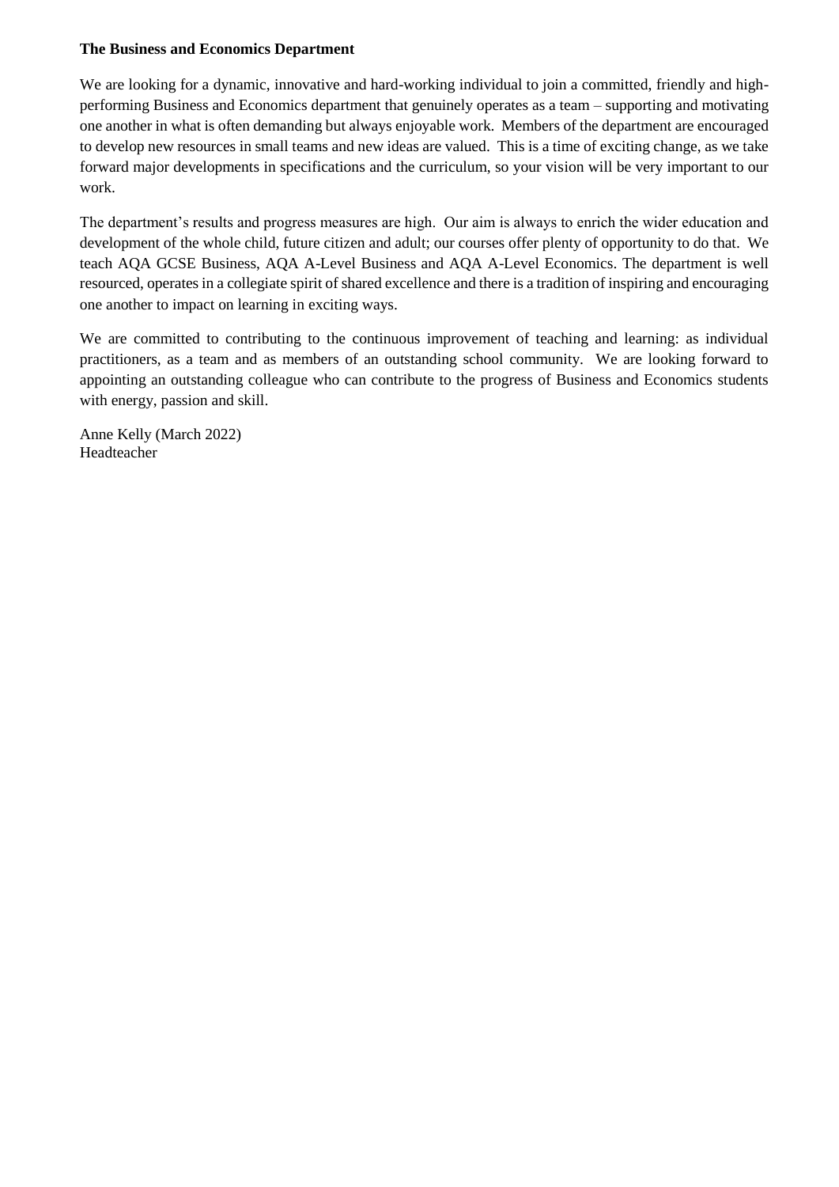#### **The Business and Economics Department**

We are looking for a dynamic, innovative and hard-working individual to join a committed, friendly and highperforming Business and Economics department that genuinely operates as a team – supporting and motivating one another in what is often demanding but always enjoyable work. Members of the department are encouraged to develop new resources in small teams and new ideas are valued. This is a time of exciting change, as we take forward major developments in specifications and the curriculum, so your vision will be very important to our work.

The department's results and progress measures are high. Our aim is always to enrich the wider education and development of the whole child, future citizen and adult; our courses offer plenty of opportunity to do that. We teach AQA GCSE Business, AQA A-Level Business and AQA A-Level Economics. The department is well resourced, operates in a collegiate spirit of shared excellence and there is a tradition of inspiring and encouraging one another to impact on learning in exciting ways.

We are committed to contributing to the continuous improvement of teaching and learning: as individual practitioners, as a team and as members of an outstanding school community. We are looking forward to appointing an outstanding colleague who can contribute to the progress of Business and Economics students with energy, passion and skill.

Anne Kelly (March 2022) Headteacher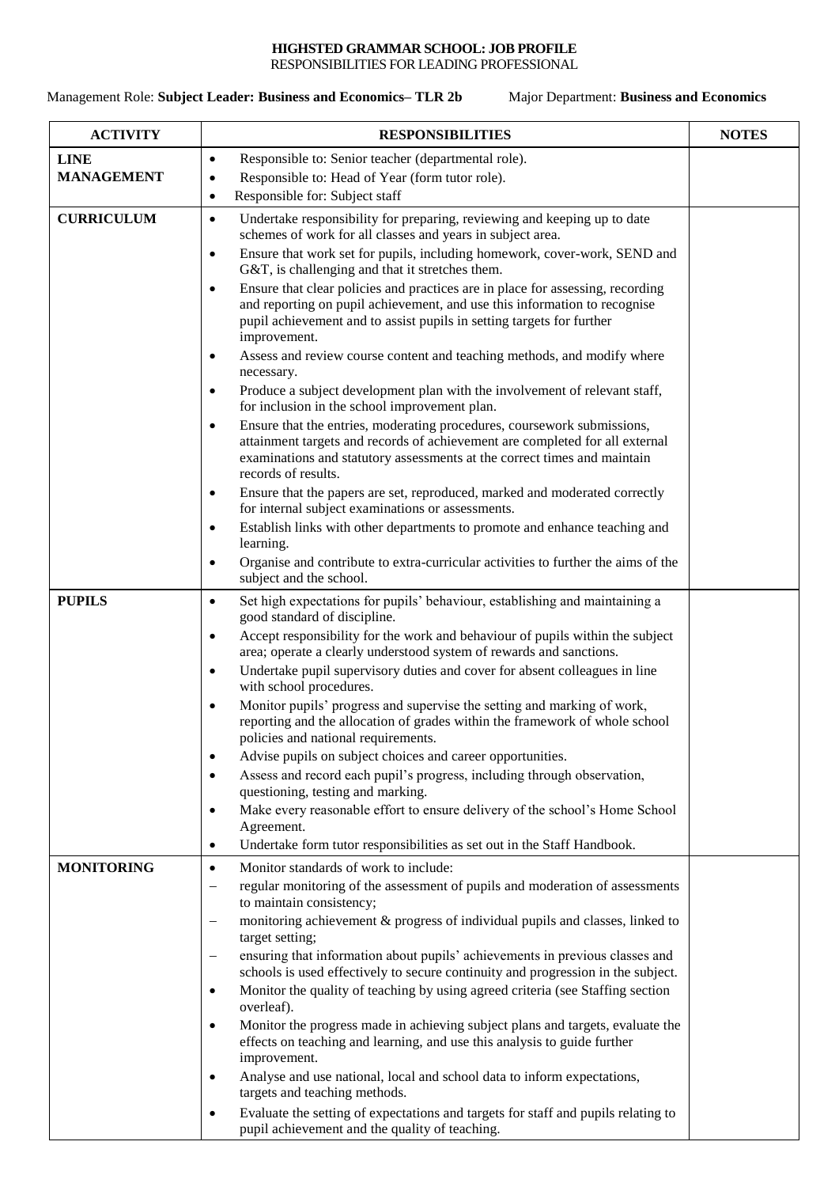### **HIGHSTED GRAMMAR SCHOOL: JOB PROFILE**

RESPONSIBILITIES FOR LEADING PROFESSIONAL

Management Role: **Subject Leader: Business and Economics– TLR 2b** Major Department: **Business and Economics**

| <b>ACTIVITY</b>   | <b>RESPONSIBILITIES</b>                                                                                                                                                                                                                                                 | <b>NOTES</b> |
|-------------------|-------------------------------------------------------------------------------------------------------------------------------------------------------------------------------------------------------------------------------------------------------------------------|--------------|
| <b>LINE</b>       | Responsible to: Senior teacher (departmental role).<br>$\bullet$                                                                                                                                                                                                        |              |
| <b>MANAGEMENT</b> | Responsible to: Head of Year (form tutor role).<br>$\bullet$                                                                                                                                                                                                            |              |
|                   | Responsible for: Subject staff<br>$\bullet$                                                                                                                                                                                                                             |              |
| <b>CURRICULUM</b> | Undertake responsibility for preparing, reviewing and keeping up to date<br>$\bullet$<br>schemes of work for all classes and years in subject area.                                                                                                                     |              |
|                   | Ensure that work set for pupils, including homework, cover-work, SEND and<br>$\bullet$<br>G&T, is challenging and that it stretches them.                                                                                                                               |              |
|                   | Ensure that clear policies and practices are in place for assessing, recording<br>$\bullet$<br>and reporting on pupil achievement, and use this information to recognise<br>pupil achievement and to assist pupils in setting targets for further<br>improvement.       |              |
|                   | Assess and review course content and teaching methods, and modify where<br>$\bullet$<br>necessary.                                                                                                                                                                      |              |
|                   | Produce a subject development plan with the involvement of relevant staff,<br>$\bullet$<br>for inclusion in the school improvement plan.                                                                                                                                |              |
|                   | Ensure that the entries, moderating procedures, coursework submissions,<br>$\bullet$<br>attainment targets and records of achievement are completed for all external<br>examinations and statutory assessments at the correct times and maintain<br>records of results. |              |
|                   | Ensure that the papers are set, reproduced, marked and moderated correctly<br>$\bullet$<br>for internal subject examinations or assessments.                                                                                                                            |              |
|                   | Establish links with other departments to promote and enhance teaching and<br>$\bullet$<br>learning.                                                                                                                                                                    |              |
|                   | Organise and contribute to extra-curricular activities to further the aims of the<br>$\bullet$<br>subject and the school.                                                                                                                                               |              |
| <b>PUPILS</b>     | Set high expectations for pupils' behaviour, establishing and maintaining a<br>٠<br>good standard of discipline.                                                                                                                                                        |              |
|                   | Accept responsibility for the work and behaviour of pupils within the subject<br>$\bullet$<br>area; operate a clearly understood system of rewards and sanctions.                                                                                                       |              |
|                   | Undertake pupil supervisory duties and cover for absent colleagues in line<br>$\bullet$<br>with school procedures.                                                                                                                                                      |              |
|                   | Monitor pupils' progress and supervise the setting and marking of work,<br>$\bullet$<br>reporting and the allocation of grades within the framework of whole school<br>policies and national requirements.                                                              |              |
|                   | Advise pupils on subject choices and career opportunities.                                                                                                                                                                                                              |              |
|                   | Assess and record each pupil's progress, including through observation,<br>$\bullet$<br>questioning, testing and marking.                                                                                                                                               |              |
|                   | Make every reasonable effort to ensure delivery of the school's Home School<br>٠<br>Agreement.                                                                                                                                                                          |              |
|                   | Undertake form tutor responsibilities as set out in the Staff Handbook.<br>$\bullet$                                                                                                                                                                                    |              |
| <b>MONITORING</b> | Monitor standards of work to include:<br>$\bullet$                                                                                                                                                                                                                      |              |
|                   | regular monitoring of the assessment of pupils and moderation of assessments<br>$\qquad \qquad -$<br>to maintain consistency;                                                                                                                                           |              |
|                   | monitoring achievement & progress of individual pupils and classes, linked to<br>$\qquad \qquad -$<br>target setting;                                                                                                                                                   |              |
|                   | ensuring that information about pupils' achievements in previous classes and<br>$\qquad \qquad -$<br>schools is used effectively to secure continuity and progression in the subject.                                                                                   |              |
|                   | Monitor the quality of teaching by using agreed criteria (see Staffing section<br>$\bullet$<br>overleaf).                                                                                                                                                               |              |
|                   | Monitor the progress made in achieving subject plans and targets, evaluate the<br>$\bullet$<br>effects on teaching and learning, and use this analysis to guide further                                                                                                 |              |
|                   | improvement.                                                                                                                                                                                                                                                            |              |
|                   | Analyse and use national, local and school data to inform expectations,<br>$\bullet$<br>targets and teaching methods.                                                                                                                                                   |              |
|                   | Evaluate the setting of expectations and targets for staff and pupils relating to<br>٠<br>pupil achievement and the quality of teaching.                                                                                                                                |              |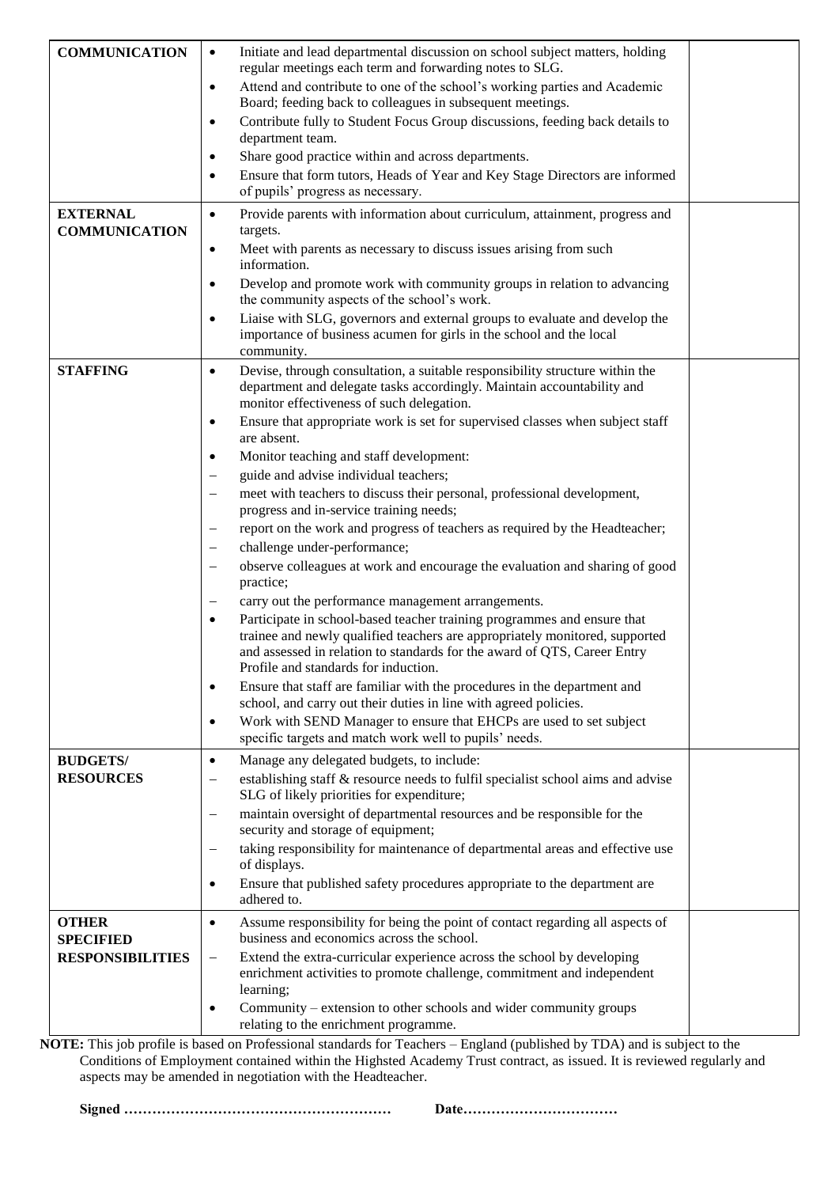| <b>COMMUNICATION</b>                | Initiate and lead departmental discussion on school subject matters, holding<br>$\bullet$                                                  |  |
|-------------------------------------|--------------------------------------------------------------------------------------------------------------------------------------------|--|
|                                     | regular meetings each term and forwarding notes to SLG.                                                                                    |  |
|                                     | Attend and contribute to one of the school's working parties and Academic                                                                  |  |
|                                     | $\bullet$<br>Board; feeding back to colleagues in subsequent meetings.                                                                     |  |
|                                     | Contribute fully to Student Focus Group discussions, feeding back details to<br>$\bullet$                                                  |  |
|                                     | department team.                                                                                                                           |  |
|                                     | Share good practice within and across departments.<br>٠                                                                                    |  |
|                                     | Ensure that form tutors, Heads of Year and Key Stage Directors are informed<br>٠                                                           |  |
|                                     | of pupils' progress as necessary.                                                                                                          |  |
| <b>EXTERNAL</b>                     | Provide parents with information about curriculum, attainment, progress and<br>$\bullet$                                                   |  |
| <b>COMMUNICATION</b>                | targets.                                                                                                                                   |  |
|                                     | Meet with parents as necessary to discuss issues arising from such<br>$\bullet$                                                            |  |
|                                     | information.                                                                                                                               |  |
|                                     | Develop and promote work with community groups in relation to advancing<br>٠                                                               |  |
|                                     | the community aspects of the school's work.                                                                                                |  |
|                                     | Liaise with SLG, governors and external groups to evaluate and develop the<br>$\bullet$                                                    |  |
|                                     | importance of business acumen for girls in the school and the local                                                                        |  |
|                                     | community.<br>Devise, through consultation, a suitable responsibility structure within the                                                 |  |
| <b>STAFFING</b>                     | $\bullet$<br>department and delegate tasks accordingly. Maintain accountability and                                                        |  |
|                                     | monitor effectiveness of such delegation.                                                                                                  |  |
|                                     | Ensure that appropriate work is set for supervised classes when subject staff<br>$\bullet$                                                 |  |
|                                     | are absent.                                                                                                                                |  |
|                                     | Monitor teaching and staff development:<br>$\bullet$                                                                                       |  |
|                                     | guide and advise individual teachers;                                                                                                      |  |
|                                     | meet with teachers to discuss their personal, professional development,                                                                    |  |
|                                     | progress and in-service training needs;                                                                                                    |  |
|                                     | report on the work and progress of teachers as required by the Headteacher;<br>$\overline{\phantom{0}}$                                    |  |
|                                     | challenge under-performance;                                                                                                               |  |
|                                     | observe colleagues at work and encourage the evaluation and sharing of good                                                                |  |
|                                     | practice;                                                                                                                                  |  |
|                                     | carry out the performance management arrangements.                                                                                         |  |
|                                     | Participate in school-based teacher training programmes and ensure that<br>$\bullet$                                                       |  |
|                                     | trainee and newly qualified teachers are appropriately monitored, supported                                                                |  |
|                                     | and assessed in relation to standards for the award of QTS, Career Entry                                                                   |  |
|                                     | Profile and standards for induction.                                                                                                       |  |
|                                     | Ensure that staff are familiar with the procedures in the department and<br>$\bullet$                                                      |  |
|                                     | school, and carry out their duties in line with agreed policies.                                                                           |  |
|                                     | Work with SEND Manager to ensure that EHCPs are used to set subject<br>$\bullet$<br>specific targets and match work well to pupils' needs. |  |
|                                     |                                                                                                                                            |  |
| <b>BUDGETS/</b><br><b>RESOURCES</b> | Manage any delegated budgets, to include:<br>$\bullet$<br>establishing staff & resource needs to fulfil specialist school aims and advise  |  |
|                                     | $\overline{\phantom{0}}$<br>SLG of likely priorities for expenditure;                                                                      |  |
|                                     | maintain oversight of departmental resources and be responsible for the                                                                    |  |
|                                     | security and storage of equipment;                                                                                                         |  |
|                                     | taking responsibility for maintenance of departmental areas and effective use                                                              |  |
|                                     | of displays.                                                                                                                               |  |
|                                     | Ensure that published safety procedures appropriate to the department are<br>$\bullet$                                                     |  |
|                                     | adhered to.                                                                                                                                |  |
| <b>OTHER</b>                        | Assume responsibility for being the point of contact regarding all aspects of<br>$\bullet$                                                 |  |
| <b>SPECIFIED</b>                    | business and economics across the school.                                                                                                  |  |
| <b>RESPONSIBILITIES</b>             | Extend the extra-curricular experience across the school by developing<br>$\qquad \qquad -$                                                |  |
|                                     | enrichment activities to promote challenge, commitment and independent                                                                     |  |
|                                     | learning;                                                                                                                                  |  |
|                                     | Community – extension to other schools and wider community groups<br>$\bullet$                                                             |  |
|                                     | relating to the enrichment programme.                                                                                                      |  |

**NOTE:** This job profile is based on Professional standards for Teachers – England (published by TDA) and is subject to the Conditions of Employment contained within the Highsted Academy Trust contract, as issued. It is reviewed regularly and aspects may be amended in negotiation with the Headteacher.

**Signed ………………………………………………… Date……………………………**